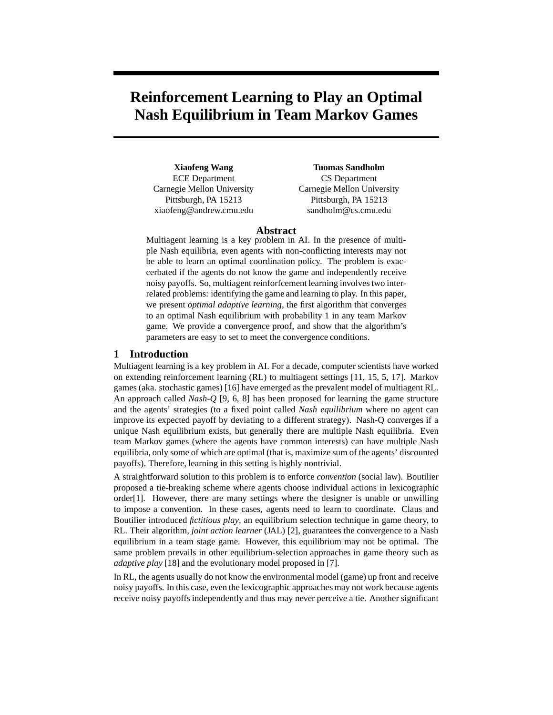# **Reinforcement Learning to Play an Optimal Nash Equilibrium in Team Markov Games**

**Xiaofeng Wang** ECE Department Carnegie Mellon University Pittsburgh, PA 15213 xiaofeng@andrew.cmu.edu

**Tuomas Sandholm** CS Department Carnegie Mellon University Pittsburgh, PA 15213 sandholm@cs.cmu.edu

## **Abstract**

Multiagent learning is a key problem in AI. In the presence of multiple Nash equilibria, even agents with non-conflicting interests may not be able to learn an optimal coordination policy. The problem is exaccerbated if the agents do not know the game and independently receive noisy payoffs. So, multiagent reinforfcement learning involves two interrelated problems: identifying the game and learning to play. In this paper, we present *optimal adaptive learning*, the first algorithm that converges to an optimal Nash equilibrium with probability 1 in any team Markov game. We provide a convergence proof, and show that the algorithm's parameters are easy to set to meet the convergence conditions.

# **1 Introduction**

Multiagent learning is a key problem in AI. For a decade, computer scientists have worked on extending reinforcement learning (RL) to multiagent settings [11, 15, 5, 17]. Markov games (aka. stochastic games) [16] have emerged as the prevalent model of multiagent RL. An approach called *Nash-Q* [9, 6, 8] has been proposed for learning the game structure and the agents' strategies (to a fixed point called *Nash equilibrium* where no agent can improve its expected payoff by deviating to a different strategy). Nash-Q converges if a unique Nash equilibrium exists, but generally there are multiple Nash equilibria. Even team Markov games (where the agents have common interests) can have multiple Nash equilibria, only some of which are optimal (that is, maximize sum of the agents' discounted payoffs). Therefore, learning in this setting is highly nontrivial.

A straightforward solution to this problem is to enforce *convention* (social law). Boutilier proposed a tie-breaking scheme where agents choose individual actions in lexicographic order[1]. However, there are many settings where the designer is unable or unwilling to impose a convention. In these cases, agents need to learn to coordinate. Claus and Boutilier introduced *fictitious play*, an equilibrium selection technique in game theory, to RL. Their algorithm, *joint action learner* (JAL) [2], guarantees the convergence to a Nash equilibrium in a team stage game. However, this equilibrium may not be optimal. The same problem prevails in other equilibrium-selection approaches in game theory such as *adaptive play* [18] and the evolutionary model proposed in [7].

In RL, the agents usually do not know the environmental model (game) up front and receive noisy payoffs. In this case, even the lexicographic approaches may not work because agents receive noisy payoffs independently and thus may never perceive a tie. Another significant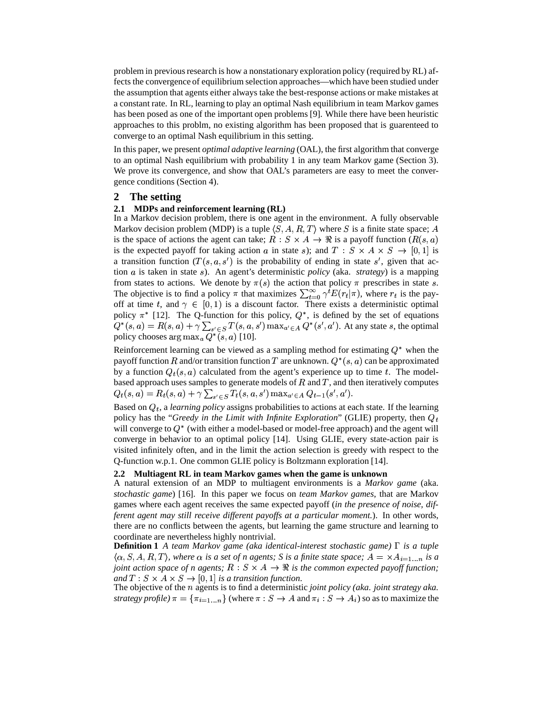problem in previous research is how a nonstationary exploration policy (required by RL) affects the convergence of equilibrium selection approaches—which have been studied under the assumption that agents either always take the best-response actions or make mistakes at a constant rate. In RL, learning to play an optimal Nash equilibrium in team Markov games has been posed as one of the important open problems [9]. While there have been heuristic approaches to this problm, no existing algorithm has been proposed that is guarenteed to converge to an optimal Nash equilibrium in this setting.

In this paper, we present *optimal adaptive learning* (OAL), the first algorithm that converge to an optimal Nash equilibrium with probability 1 in any team Markov game (Section 3). We prove its convergence, and show that OAL's parameters are easy to meet the convergence conditions (Section 4).

## **2 The setting**

## **2.1 MDPs and reinforcement learning (RL)**

In a Markov decision problem, there is one agent in the environment. A fully observable Markov decision problem (MDP) is a tuple  $\langle S, A, R, T \rangle$  where S is a finite state space; A is the space of actions the agent can take;  $R : S \times A \rightarrow \mathbb{R}$  is a payoff function  $(R(s, a))$ is the expected payoff for taking action a in state s); and  $T : S \times A \times S \rightarrow [0,1]$  is a transition function  $(T(s, a, s')$  is the probability of ending in state  $s'$ , given that action *a* is taken in state *s*). An agent's deterministic *policy* (aka. *strategy*) is a mapping from states to actions. We denote by  $\pi(s)$  the action that policy  $\pi$  prescribes in state s. The objective is to find a policy  $\pi$  that maximizes  $\sum_{t=0}^{\infty} \gamma^t E(r_t|\pi)$ , where  $r_t$  is the payoff at time t, and  $\gamma \in [0,1)$  is a discount factor. There exists a deterministic optimal policy  $\pi^*$  [12]. The Q-function for this policy,  $Q^*$ , is defined by the set of equations  $Q^*(s, a) = R(s, a) + \gamma \sum_{s' \in S} T(s, a, s') \max_{a' \in A} Q^*(s', a')$ . At any state s, the optimal policy chooses  $\argmax_a Q^*(s, a)$  [10].

Reinforcement learning can be viewed as a sampling method for estimating  $Q^*$  when the payoff function  $R$  and/or transition function  $T$  are unknown.  $Q^*(s, a)$  can be approximated by a function  $Q_t(s, a)$  calculated from the agent's experience up to time t. The modelbased approach uses samples to generate models of  $R$  and  $T$ , and then iteratively computes  $Q_t(s,a) = R_t(s,a) + \gamma \sum_{s' \in S} T_t(s,a,s') \max_{a' \in A} Q_{t-1}(s',a').$ 

Based on  $Q_t$ , a *learning policy* assigns probabilities to actions at each state. If the learning policy has the "*Greedy in the Limit with Infinite Exploration*" (GLIE) property, then  $Q_t$ will converge to  $Q^*$  (with either a model-based or model-free approach) and the agent will converge in behavior to an optimal policy [14]. Using GLIE, every state-action pair is visited infinitely often, and in the limit the action selection is greedy with respect to the Q-function w.p.1. One common GLIE policy is Boltzmann exploration [14].

## **2.2 Multiagent RL in team Markov games when the game is unknown**

A natural extension of an MDP to multiagent environments is a *Markov game* (aka. *stochastic game*) [16]. In this paper we focus on *team Markov games*, that are Markov games where each agent receives the same expected payoff (*in the presence of noise, different agent may still receive different payoffs at a particular moment.*). In other words, there are no conflicts between the agents, but learning the game structure and learning to coordinate are nevertheless highly nontrivial.

**Definition 1** *A team Markov game (aka identical-interest stochastic game)*  $\Gamma$  *is a tuple*  $\langle \alpha, S, A, R, T \rangle$ , where  $\alpha$  is a set of n agents; S is a finite state space;  $A = \times A_{i=1...n}$  is a *joint action space of n agents;*  $R : S \times A \rightarrow \mathbb{R}$  *is the common expected payoff function; and*  $T: S \times A \times S \rightarrow [0, 1]$  *is a transition function.* 

The objective of the *n* agents is to find a deterministic *joint policy (aka. joint strategy aka. strategy profile*)  $\pi = {\pi_{i=1...n}}$  (where  $\pi : S \to A$  and  $\pi_i : S \to A_i$ ) so as to maximize the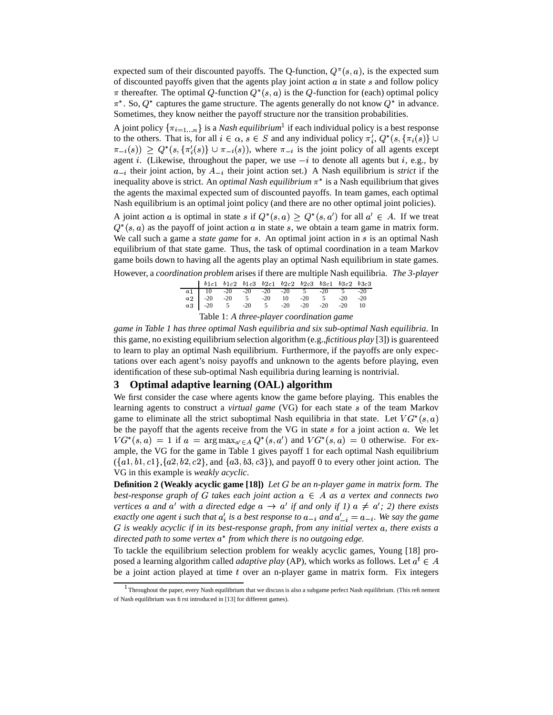expected sum of their discounted payoffs. The Q-function,  $Q^{\pi}(s, a)$ , is the expected sum of discounted payoffs given that the agents play joint action  $a$  in state  $s$  and follow policy  $\pi$  thereafter. The optimal Q-function  $Q^*(s, a)$  is the Q-function for (each) optimal policy  $\pi^*$ . So,  $Q^*$  captures the game structure. The agents generally do not know  $Q^*$  in advance. Sometimes, they know neither the payoff structure nor the transition probabilities.

A joint policy  $\{\pi_{i=1...n}\}$  is a *Nash equilibrium*<sup>1</sup> if each individual policy is a best response to the others. That is, for all  $i \in \alpha$ ,  $s \in S$  and any individual policy  $\pi'_i$ ,  $Q^*(s, \{\pi_i(s)\} \cup$  $\pi_{-i}(s)$   $\geq Q^*(s, \{\pi_i'(s)\} \cup \pi_{-i}(s)),$  where  $\pi_{-i}$  is the joint policy of all agents except agent *i*. (Likewise, throughout the paper, we use  $-i$  to denote all agents but *i*, e.g., by  $a_{-i}$  their joint action, by  $A_{-i}$  their joint action set.) A Nash equilibrium is *strict* if the inequality above is strict. An *optimal Nash equilibrium*  $\pi^*$  is a Nash equilibrium that gives the agents the maximal expected sum of discounted payoffs. In team games, each optimal Nash equilibrium is an optimal joint policy (and there are no other optimal joint policies).

A joint action a is optimal in state s if  $Q^*(s, a) \geq Q^*(s, a')$  for all  $a' \in A$ . If we treat  $Q^*(s, a)$  as the payoff of joint action a in state s, we obtain a team game in matrix form. We call such a game a *state game* for s. An optimal joint action in s is an optimal Nash equilibrium of that state game. Thus, the task of optimal coordination in a team Markov game boils down to having all the agents play an optimal Nash equilibrium in state games.

|--|

| $b1c1$ $b1c2$ $b1c3$ $b2c1$ $b2c2$ $b2c3$ $b3c1$ $b3c2$ $b3c3$                                                                                                                                          |  |  |  |  |  |  |  |  |  |
|---------------------------------------------------------------------------------------------------------------------------------------------------------------------------------------------------------|--|--|--|--|--|--|--|--|--|
|                                                                                                                                                                                                         |  |  |  |  |  |  |  |  |  |
|                                                                                                                                                                                                         |  |  |  |  |  |  |  |  |  |
| $\begin{array}{cccccccc} a1 & 10 & -20 & -20 & -20 & -20 & 5 & -20 & 5 & -20 \\ a2 & -20 & -20 & 5 & -20 & 10 & -20 & 5 & -20 & -20 \\ a3 & -20 & 5 & -20 & 5 & -20 & -20 & -20 & -20 & 10 \end{array}$ |  |  |  |  |  |  |  |  |  |
| Table 1: A three-player coordination game                                                                                                                                                               |  |  |  |  |  |  |  |  |  |

*game in Table 1 has three optimal Nash equilibria and six sub-optimal Nash equilibria*. In this game, no existing equilibrium selection algorithm (e.g.,*fictitious play* [3]) is guarenteed to learn to play an optimal Nash equilibrium. Furthermore, if the payoffs are only expectations over each agent's noisy payoffs and unknown to the agents before playing, even identification of these sub-optimal Nash equilibria during learning is nontrivial.

# **3 Optimal adaptive learning (OAL) algorithm**

We first consider the case where agents know the game before playing. This enables the learning agents to construct a *virtual game* (VG) for each state s of the team Markov game to eliminate all the strict suboptimal Nash equilibria in that state. Let  $VG^*(s, a)$ be the payoff that the agents receive from the VG in state  $s$  for a joint action  $a$ . We let  $VG^*(s, a) = 1$  if  $a = \arg \max_{a' \in A} Q^*(s, a')$  and  $VG^*(s, a) = 0$  otherwise. For example, the VG for the game in Table 1 gives payoff 1 for each optimal Nash equilibrium  $({a1, b1, c1}, {a2, b2, c2},$  and  ${a3, b3, c3}$ , and payoff 0 to every other joint action. The VG in this example is *weakly acyclic*.

**Definition 2 (Weakly acyclic game [18])** *Let be an n-player game in matrix form. The* best-response graph of G takes each joint action  $a \in A$  as a vertex and connects two *vertices* a and a' with a directed edge  $a \rightarrow a'$  if and only if 1)  $a \neq a'$ ; 2) there exists *exactly one agent i such that*  $a'_i$  *is a best response to*  $a_{-i}$  *and*  $a'_{-i} = a_{-i}$ *. We say the game is weakly acyclic if in its best-response graph, from any initial vertex , there exists a* directed path to some vertex  $a^*$  from which there is no outgoing edge.

To tackle the equilibrium selection problem for weakly acyclic games, Young [18] proposed a learning algorithm called *adaptive play* (AP), which works as follows. Let  $a^t \in A$ be a joint action played at time  $t$  over an n-player game in matrix form. Fix integers

 $^1$ Throughout the paper, every Nash equilibrium that we discuss is also a subgame perfect Nash equilibrium. (This refinement of Nash equilibrium was first introduced in [13] for different games).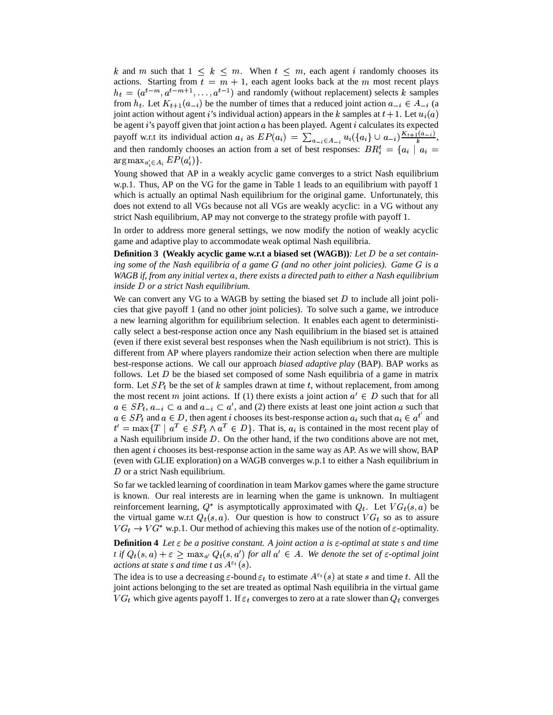k and m such that  $1 \leq k \leq m$ . When  $t \leq m$ , each agent i randomly chooses its actions. Starting from  $t = m + 1$ , each agent looks back at the m most recent plays  $h_t = (a^{t-m}, a^{t-m+1}, \dots, a^{t-1})$  and randomly (without replacement) selects k samples from  $h_t$ . Let  $K_{t+1}(a_{-i})$  be the number of times that a reduced joint action  $a_{-i} \in A_{-i}$  (a joint action without agent *i*'s individual action) appears in the *k* samples at  $t + 1$ . Let  $u_i(a)$ be agent *i*'s payoff given that joint action *a* has been played. Agent *i* calculates its expected payoff w.r.t its individual action  $a_i$  as  $EP(a_i) = \sum_{a_{-i} \in A_{-i}} u_i(\{a_i\} \cup a_{-i}) \frac{K_{i+1}(a_{-i})}{k}$ and then randomly chooses an action from a set of best responses:  $BR_i^t = \{a_i \mid a_i =$  $\arg \max_{a' \in A_i} EP(a'_i) \}.$ 

Young showed that AP in a weakly acyclic game converges to a strict Nash equilibrium w.p.1. Thus, AP on the VG for the game in Table 1 leads to an equilibrium with payoff 1 which is actually an optimal Nash equilibrium for the original game. Unfortunately, this does not extend to all VGs because not all VGs are weakly acyclic: in a VG without any strict Nash equilibrium, AP may not converge to the strategy profile with payoff 1.

In order to address more general settings, we now modify the notion of weakly acyclic game and adaptive play to accommodate weak optimal Nash equilibria.

**Definition 3** (Weakly acyclic game w.r.t a biased set (WAGB)): Let D be a set contain*ing some of the Nash equilibria of a game (and no other joint policies). Game is a* WAGB if, from any initial vertex a, there exists a directed path to either a Nash equilibrium *inside* D or a strict Nash equilibrium.

We can convert any VG to a WAGB by setting the biased set  $D$  to include all joint policies that give payoff 1 (and no other joint policies). To solve such a game, we introduce a new learning algorithm for equilibrium selection. It enables each agent to deterministically select a best-response action once any Nash equilibrium in the biased set is attained (even if there exist several best responses when the Nash equilibrium is not strict). This is different from AP where players randomize their action selection when there are multiple best-response actions. We call our approach *biased adaptive play* (BAP). BAP works as follows. Let  $D$  be the biased set composed of some Nash equilibria of a game in matrix form. Let  $SP<sub>t</sub>$  be the set of k samples drawn at time t, without replacement, from among the most recent *m* joint actions. If (1) there exists a joint action  $a' \in D$  such that for all  $a \in SP_t$ ,  $a_{-i} \subset a$  and  $a_{-i} \subset a'$ , and (2) there exists at least one joint action a such that  $a \in SP_t$  and  $a \in D$ , then agent *i* chooses its best-response action  $a_i$  such that  $a_i \in a^{t'}$  and  $t' = \max\{T \mid a^T \in SP_t \wedge a^T \in D\}$ . That is,  $a_i$  is contained in the most recent play of a Nash equilibrium inside  $D$ . On the other hand, if the two conditions above are not met, then agent  $i$  chooses its best-response action in the same way as AP. As we will show, BAP (even with GLIE exploration) on a WAGB converges w.p.1 to either a Nash equilibrium in  $D$  or a strict Nash equilibrium.

So far we tackled learning of coordination in team Markov games where the game structure is known. Our real interests are in learning when the game is unknown. In multiagent reinforcement learning,  $Q^*$  is asymptotically approximated with  $Q_t$ . Let  $VG_t(s, a)$  be the virtual game w.r.t  $Q_t(s, a)$ . Our question is how to construct  $VG_t$  so as to assure  $VG_t \rightarrow VG^*$  w.p.1. Our method of achieving this makes use of the notion of  $\varepsilon$ -optimality.

**Definition 4** *Let*  $\varepsilon$  *be a positive constant. A joint action a is*  $\varepsilon$ -*optimal at state s and time t* if  $Q_t(s, a) + \varepsilon \ge \max_{a'} Q_t(s, a')$  for all  $a' \in A$ . We denote the set of  $\varepsilon$ -optimal joint *actions at state s and time t as*  $A^{\varepsilon_t}(s)$ *.* 

The idea is to use a decreasing  $\varepsilon$ -bound  $\varepsilon_t$  to estimate  $A^{\varepsilon_t}(s)$  at state s and time t. All the joint actions belonging to the set are treated as optimal Nash equilibria in the virtual game  $VG_t$  which give agents payoff 1. If  $\varepsilon_t$  converges to zero at a rate slower than  $Q_t$  converges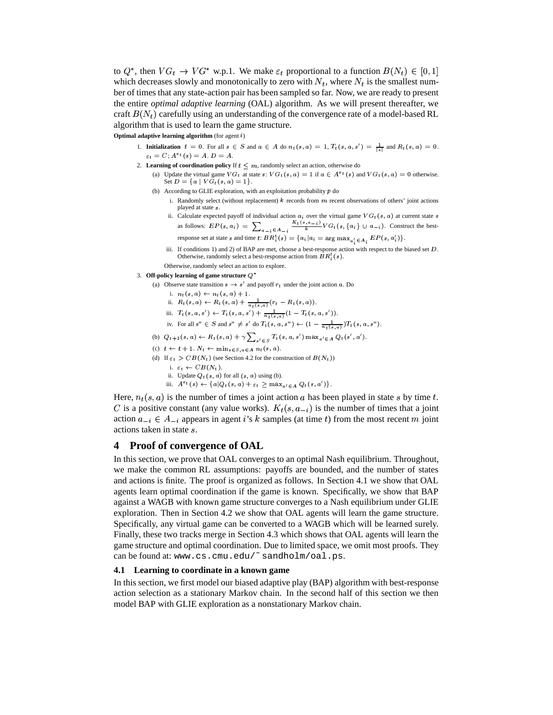to  $Q^*$ , then  $VG_t \to VG^*$  w.p.1. We make  $\varepsilon_t$  proportional to a function  $B(N_t) \in [0,1]$ which decreases slowly and monotonically to zero with  $N_t$ , where  $N_t$  is the smallest number of times that any state-action pair has been sampled so far. Now, we are ready to present the entire *optimal adaptive learning* (OAL) algorithm. As we will present thereafter, we craft  $B(N_t)$  carefully using an understanding of the convergence rate of a model-based RL algorithm that is used to learn the game structure.

 $\overline{\text{Optimal}}$  adaptive learning algorithm (for agent  $i$ )

- 1. **Initialization**  $t = 0$ . For all  $s \in S$  and  $a \in A$  do  $n_t(s, a) = 1$ ,  $T_t(s, a, s') = \frac{1}{|s|}$  and  $R_t(s, a) = 0$ .  $\varepsilon_t = C; A^{\varepsilon_t}(s) = A. D = A.$
- 2. **Learning of coordination policy** If  $t \leq m$ , randomly select an action, otherwise do (a) Update the virtual game  $VG_t$  at state  $s: VG_t(s, a) = 1$  if  $a \in A^{\varepsilon_t}(s)$  and  $VG_t(s, a) = 0$  otherwise. Set  $D = \{a \mid VG_t(s, a) = 1\}.$ 
	- (b) According to GLIE exploration, with an exploitation probability  $p$  do
		- i. Randomly select (without replacement)  $k$  records from  $m$  recent observations of others' joint actions played at state s.
		- ii. Calculate expected payoff of individual action  $a_i$  over the virtual game  $VG_t(s, a)$  at current state s Exercise the payon of individual action  $a_i$  over the virtual game  $V G_t(s, a_j)$  at current state s<br>as follows:  $EP(s, a_i) = \sum_{\substack{a_{-i} \in A_{-i} \\ a_{-i} \in A_i}} \frac{K_t(s, a_{-i})}{k} V G_t(s, \{a_i\} \cup a_{-i})$ . Construct the best-
		- response set at state s and time t:  $BR_i^t(s) = \{a_i | a_i = \arg \max_{a \in \mathcal{A}} EP(s, a_i')\}$ .
		- iii. If conditions 1) and 2) of BAP are met, choose a best-response action with respect to the biased set  $D$ . Otherwise, randomly select a best-response action from  $B R_i^t(s)$ .
		- Otherwise, randomly select an action to explore.
- 3. **Off-policy learning of game structure**  $\mathbb{O}^*$ 
	- (a) Observe state transition  $s \to s'$  and payoff  $r_t$  under the joint action a. Do
		- i.  $n_t(s, a) \leftarrow n_t(s, a) + 1$ .
		- ii.  $R_t(s, a) \leftarrow R_t(s, a) + \frac{1}{s_1(s, a)} (r_t R_t(s, a)).$
		- iii.  $T_t(s, a, s') \leftarrow T_t(s, a, s') + \frac{1}{\pi \left( s, a, s' \right)} (1 T_t(s, a, s')).$
		- iv. For all  $s'' \in S$  and  $s'' \neq s'$  do  $T_t(s, a, s'') \leftarrow (1 \frac{1}{s_1(s, a)})T_t(s, a, s'').$
	- (b)  $Q_{t+1}(s, a) \leftarrow R_t(s, a) + \gamma \sum_{l \in \mathcal{A}} T_t(s, a, s') \max_{a' \in A} Q_t(s', a').$
	- (c)  $t \leftarrow t + 1$ .  $N_t \leftarrow \min_{s \in S, a \in A} n_t(s, a)$ .
	- (d) If  $\varepsilon_t > CB(N_t)$  (see Section 4.2 for the construction of  $B(N_t)$ )
		- i.  $\varepsilon_t \leftarrow CB(N_t)$ .
		- ii. Update  $Q_t(s, a)$  for all  $(s, a)$  using (b).
		- iii.  $A^{\varepsilon}t(s) \leftarrow \{a|Q_t(s,a) + \varepsilon_t \ge \max_{a' \in A} Q_t(s,a')\}.$

Here,  $n_t(s, a)$  is the number of times a joint action a has been played in state s by time t. C is a positive constant (any value works).  $K_t(s, a_{-i})$  is the number of times that a joint action  $a_{-i} \in A_{-i}$  appears in agent *i*'s k samples (at time t) from the most recent m joint actions taken in state .

# **4 Proof of convergence of OAL**

In this section, we prove that OAL converges to an optimal Nash equilibrium. Throughout, we make the common RL assumptions: payoffs are bounded, and the number of states and actions is finite. The proof is organized as follows. In Section 4.1 we show that OAL agents learn optimal coordination if the game is known. Specifically, we show that BAP against a WAGB with known game structure converges to a Nash equilibrium under GLIE exploration. Then in Section 4.2 we show that OAL agents will learn the game structure. Specifically, any virtual game can be converted to a WAGB which will be learned surely. Finally, these two tracks merge in Section 4.3 which shows that OAL agents will learn the game structure and optimal coordination. Due to limited space, we omit most proofs. They can be found at: www.cs.cmu.edu/~sandholm/oal.ps.

### **4.1 Learning to coordinate in a known game**

In this section, we first model our biased adaptive play (BAP) algorithm with best-response action selection as a stationary Markov chain. In the second half of this section we then model BAP with GLIE exploration as a nonstationary Markov chain.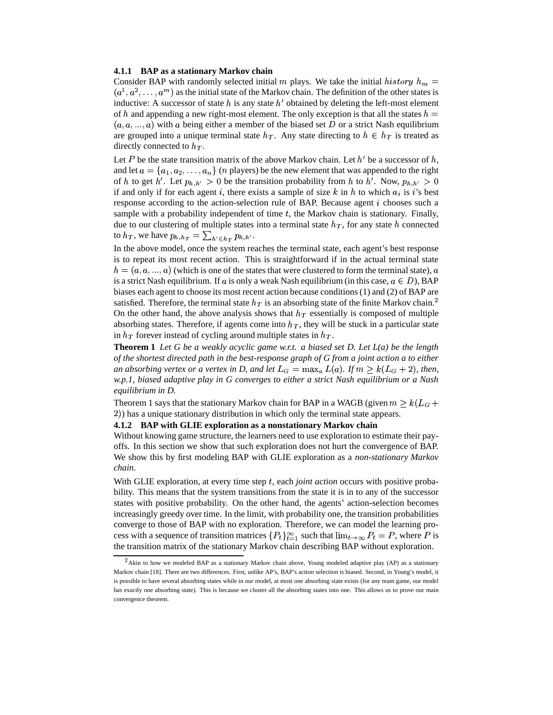#### **4.1.1 BAP as a stationary Markov chain**

Consider BAP with randomly selected initial m plays. We take the initial history  $h_m =$  $(a^1, a^2, \ldots, a^m)$  as the initial state of the Markov chain. The definition of the other states is inductive: A successor of state h is any state h' obtained by deleting the left-most element of h and appending a new right-most element. The only exception is that all the states  $h =$  $(a, a, ..., a)$  with a being either a member of the biased set D or a strict Nash equilibrium are grouped into a unique terminal state  $h_T$ . Any state directing to  $h \in h_T$  is treated as directly connected to  $h_T$ .

Let P be the state transition matrix of the above Markov chain. Let  $h'$  be a successor of  $h$ , and let  $a = \{a_1, a_2, \ldots, a_n\}$  (*n* players) be the new element that was appended to the right of h to get h'. Let  $p_{h,h'} > 0$  be the transition probability from h to h'. Now,  $p_{h,h'} > 0$ if and only if for each agent i, there exists a sample of size k in h to which  $a_i$  is i's best response according to the action-selection rule of BAP. Because agent  $i$  chooses such a sample with a probability independent of time  $t$ , the Markov chain is stationary. Finally, due to our clustering of multiple states into a terminal state  $h_T$ , for any state h connected to  $h_T$ , we have  $p_{h,h_T} = \sum_{h' \in h_T} p_{h,h'}$ .

In the above model, once the system reaches the terminal state, each agent's best response is to repeat its most recent action. This is straightforward if in the actual terminal state  $h = (a, a, ..., a)$  (which is one of the states that were clustered to form the terminal state), a is a strict Nash equilibrium. If a is only a weak Nash equilibrium (in this case,  $a \in D$ ), BAP biases each agent to choose its most recent action because conditions (1) and (2) of BAP are satisfied. Therefore, the terminal state  $h_T$  is an absorbing state of the finite Markov chain.<sup>2</sup> On the other hand, the above analysis shows that  $h_T$  essentially is composed of multiple absorbing states. Therefore, if agents come into  $h_T$ , they will be stuck in a particular state in  $h_T$  forever instead of cycling around multiple states in  $h_T$ .

**Theorem 1** *Let G be a weakly acyclic game w.r.t. a biased set D. Let L(a) be the length of the shortest directed path in the best-response graph of G from a joint action a to either an absorbing vertex or a vertex in D, and let*  $L_G = \max_a L(a)$ . If  $m \geq k(L_G + 2)$ , then, *w.p.1, biased adaptive play in G converges to either a strict Nash equilibrium or a Nash equilibrium in D.*

Theorem 1 says that the stationary Markov chain for BAP in a WAGB (given  $m \geq k(L_G + n)$ ) has a unique stationary distribution in which only the terminal state appears.

#### **4.1.2 BAP with GLIE exploration as a nonstationary Markov chain**

Without knowing game structure, the learners need to use exploration to estimate their payoffs. In this section we show that such exploration does not hurt the convergence of BAP. We show this by first modeling BAP with GLIE exploration as a *non-stationary Markov chain*.

With GLIE exploration, at every time step t, each *joint action* occurs with positive probability. This means that the system transitions from the state it is in to any of the successor states with positive probability. On the other hand, the agents' action-selection becomes increasingly greedy over time. In the limit, with probability one, the transition probabilities converge to those of BAP with no exploration. Therefore, we can model the learning process with a sequence of transition matrices  ${P_t}_{t=1}^{\infty}$  such that  $\lim_{t\to\infty} P_t = P$ , where P is the transition matrix of the stationary Markov chain describing BAP without exploration.

 $A^2$ Akin to how we modeled BAP as a stationary Markov chain above, Young modeled adaptive play (AP) as a stationary Markov chain [18]. There are two differences. First, unlike AP's, BAP's action selection is biased. Second, in Young's model, it is possible to have several absorbing states while in our model, at most one absorbing state exists (for any team game, our model has exactly one absorbing state). This is because we cluster all the absorbing states into one. This allows us to prove our main convergence theorem.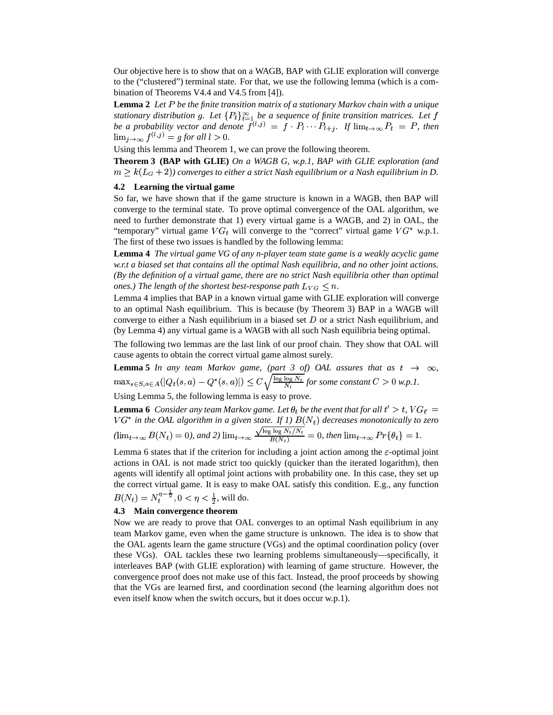Our objective here is to show that on a WAGB, BAP with GLIE exploration will converge to the ("clustered") terminal state. For that, we use the following lemma (which is a combination of Theorems V4.4 and V4.5 from [4]).

Lemma 2 Let P be the finite transition matrix of a stationary Markov chain with a unique stationary distribution g. Let  $\{P_t\}_{t=1}^{\infty}$  be a sequence of finite transition matrices. Let f be a probability vector and denote  $f^{(l,j)} = f \cdot P_l \cdots P_{l+j}$ . If  $\lim_{t\to\infty} P_t = P$ , then  $\lim_{j\to\infty} f^{(l,j)} = g$  for all  $l > 0$ .

Using this lemma and Theorem 1, we can prove the following theorem.

**Theorem 3 (BAP with GLIE)** *On a WAGB G, w.p.1, BAP with GLIE exploration (and*  $m \geq k(L_G+2)$ ) converges to either a strict Nash equilibrium or a Nash equilibrium in D.

## **4.2 Learning the virtual game**

So far, we have shown that if the game structure is known in a WAGB, then BAP will converge to the terminal state. To prove optimal convergence of the OAL algorithm, we need to further demonstrate that 1) every virtual game is a WAGB, and 2) in OAL, the "temporary" virtual game  $VG_t$  will converge to the "correct" virtual game  $VG^*$  w.p.1. The first of these two issues is handled by the following lemma:

**Lemma 4** *The virtual game VG of any n-player team state game is a weakly acyclic game w.r.t a biased set that contains all the optimal Nash equilibria, and no other joint actions. (By the definition of a virtual game, there are no strict Nash equilibria other than optimal ones.) The length of the shortest best-response path*  $L_{VG} \le n$ *.* 

Lemma 4 implies that BAP in a known virtual game with GLIE exploration will converge to an optimal Nash equilibrium. This is because (by Theorem 3) BAP in a WAGB will converge to either a Nash equilibrium in a biased set  $D$  or a strict Nash equilibrium, and (by Lemma 4) any virtual game is a WAGB with all such Nash equilibria being optimal.

The following two lemmas are the last link of our proof chain. They show that OAL will cause agents to obtain the correct virtual game almost surely.

**Lemma 5** *In any team Markov game, (part 3 of) OAL assures that as*  $t \rightarrow \infty$ ,  $\max_{s \in S, a \in A} (|Q_t(s, a) - Q^*(s, a)|) \leq C \sqrt{\frac{\log \log N_t}{N_t}}$  for some constant  $C > 0$  w.p.1.

Using Lemma 5, the following lemma is easy to prove.

**Lemma 6** Consider any team Markov game. Let  $\theta_t$  be the event that for all  $t' > t$ ,  $VG_{t'} =$  $V G^*$  in the OAL algorithm in a given state. If 1)  $B(N_t)$  decreases monotonically to zero  $(\lim_{t\to\infty}B(N_t)=0)$ , and 2)  $\lim_{t\to\infty}\frac{\sqrt{\log\log N_t/N_t}}{B(N_t)}=0$ , then  $\lim_{t\to\infty}Pr{\theta_t}=1$ .

Lemma 6 states that if the criterion for including a joint action among the  $\varepsilon$ -optimal joint actions in OAL is not made strict too quickly (quicker than the iterated logarithm), then agents will identify all optimal joint actions with probability one. In this case, they set up the correct virtual game. It is easy to make OAL satisfy this condition. E.g., any function  $B(N_t) = N_t^{\eta - \frac{1}{2}}$ ,  $0 < \eta < \frac{1}{2}$ , will do.

## **4.3 Main convergence theorem**

Now we are ready to prove that OAL converges to an optimal Nash equilibrium in any team Markov game, even when the game structure is unknown. The idea is to show that the OAL agents learn the game structure (VGs) and the optimal coordination policy (over these VGs). OAL tackles these two learning problems simultaneously—specifically, it interleaves BAP (with GLIE exploration) with learning of game structure. However, the convergence proof does not make use of this fact. Instead, the proof proceeds by showing that the VGs are learned first, and coordination second (the learning algorithm does not even itself know when the switch occurs, but it does occur w.p.1).